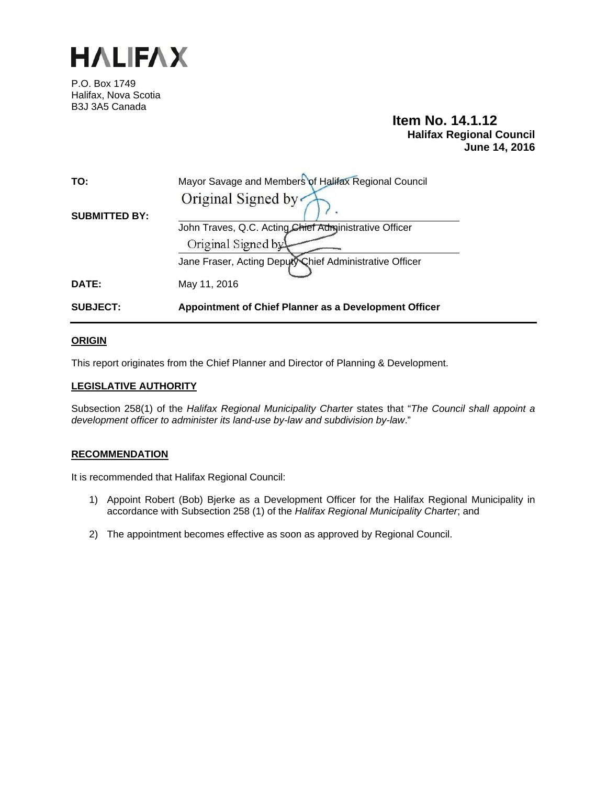

P.O. Box 1749 Halifax, Nova Scotia B3J 3A5 Canada

# **Item No. 14.1.12 Halifax Regional Council June 14, 2016**

| TO:                  | Mayor Savage and Members of Halifax Regional Council                          |
|----------------------|-------------------------------------------------------------------------------|
| <b>SUBMITTED BY:</b> | Original Signed by                                                            |
|                      | John Traves, Q.C. Acting Chief Administrative Officer                         |
|                      | Original Signed by<br>Jane Fraser, Acting Deputy Chief Administrative Officer |
| <b>DATE:</b>         | May 11, 2016                                                                  |
| <b>SUBJECT:</b>      | Appointment of Chief Planner as a Development Officer                         |

# **ORIGIN**

This report originates from the Chief Planner and Director of Planning & Development.

# **LEGISLATIVE AUTHORITY**

Subsection 258(1) of the *Halifax Regional Municipality Charter* states that "*The Council shall appoint a development officer to administer its land-use by-law and subdivision by-law*."

## **RECOMMENDATION**

It is recommended that Halifax Regional Council:

- 1) Appoint Robert (Bob) Bjerke as a Development Officer for the Halifax Regional Municipality in accordance with Subsection 258 (1) of the *Halifax Regional Municipality Charter*; and
- 2) The appointment becomes effective as soon as approved by Regional Council.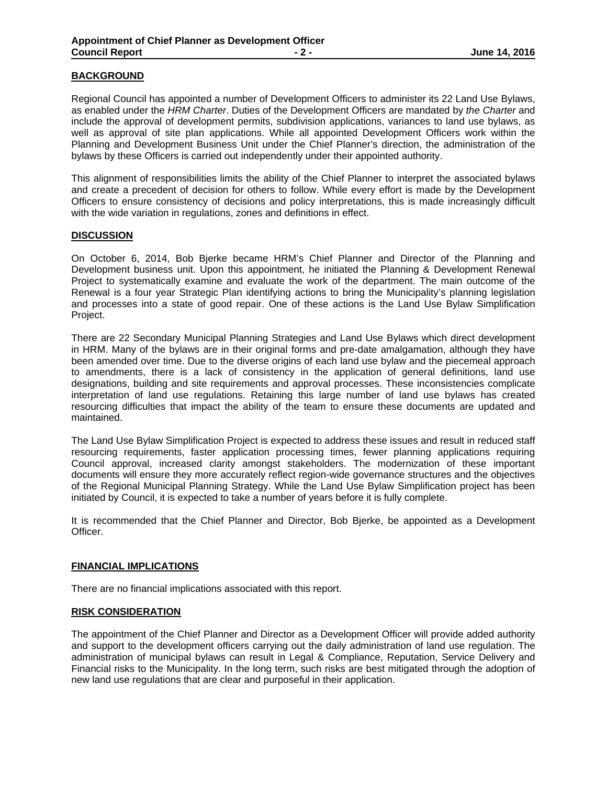# **BACKGROUND**

Regional Council has appointed a number of Development Officers to administer its 22 Land Use Bylaws, as enabled under the *HRM Charter*. Duties of the Development Officers are mandated by *the Charter* and include the approval of development permits, subdivision applications, variances to land use bylaws, as well as approval of site plan applications. While all appointed Development Officers work within the Planning and Development Business Unit under the Chief Planner's direction, the administration of the bylaws by these Officers is carried out independently under their appointed authority.

This alignment of responsibilities limits the ability of the Chief Planner to interpret the associated bylaws and create a precedent of decision for others to follow. While every effort is made by the Development Officers to ensure consistency of decisions and policy interpretations, this is made increasingly difficult with the wide variation in regulations, zones and definitions in effect.

#### **DISCUSSION**

On October 6, 2014, Bob Bjerke became HRM's Chief Planner and Director of the Planning and Development business unit. Upon this appointment, he initiated the Planning & Development Renewal Project to systematically examine and evaluate the work of the department. The main outcome of the Renewal is a four year Strategic Plan identifying actions to bring the Municipality's planning legislation and processes into a state of good repair. One of these actions is the Land Use Bylaw Simplification Project.

There are 22 Secondary Municipal Planning Strategies and Land Use Bylaws which direct development in HRM. Many of the bylaws are in their original forms and pre-date amalgamation, although they have been amended over time. Due to the diverse origins of each land use bylaw and the piecemeal approach to amendments, there is a lack of consistency in the application of general definitions, land use designations, building and site requirements and approval processes. These inconsistencies complicate interpretation of land use regulations. Retaining this large number of land use bylaws has created resourcing difficulties that impact the ability of the team to ensure these documents are updated and maintained.

The Land Use Bylaw Simplification Project is expected to address these issues and result in reduced staff resourcing requirements, faster application processing times, fewer planning applications requiring Council approval, increased clarity amongst stakeholders. The modernization of these important documents will ensure they more accurately reflect region-wide governance structures and the objectives of the Regional Municipal Planning Strategy. While the Land Use Bylaw Simplification project has been initiated by Council, it is expected to take a number of years before it is fully complete.

It is recommended that the Chief Planner and Director, Bob Bjerke, be appointed as a Development Officer.

#### **FINANCIAL IMPLICATIONS**

There are no financial implications associated with this report.

#### **RISK CONSIDERATION**

The appointment of the Chief Planner and Director as a Development Officer will provide added authority and support to the development officers carrying out the daily administration of land use regulation. The administration of municipal bylaws can result in Legal & Compliance, Reputation, Service Delivery and Financial risks to the Municipality. In the long term, such risks are best mitigated through the adoption of new land use regulations that are clear and purposeful in their application.